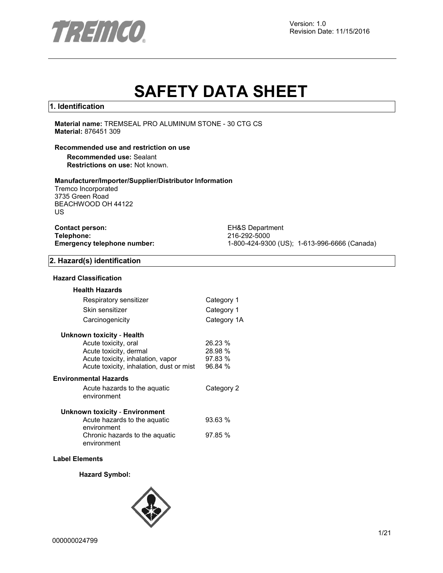

# **SAFETY DATA SHEET**

#### **1. Identification**

**Material name:** TREMSEAL PRO ALUMINUM STONE - 30 CTG CS **Material:** 876451 309

#### **Recommended use and restriction on use**

**Recommended use:** Sealant **Restrictions on use:** Not known.

#### **Manufacturer/Importer/Supplier/Distributor Information**

Tremco Incorporated 3735 Green Road BEACHWOOD OH 44122 US

| <b>Contact person:</b>      |  |
|-----------------------------|--|
| Telephone:                  |  |
| Emergency telephone number: |  |

**EH&S Department Telephone:** 216-292-5000 **Emergency telephone number:** 1-800-424-9300 (US); 1-613-996-6666 (Canada)

#### **2. Hazard(s) identification**

#### **Hazard Classification**

| <b>Health Hazards</b>                         |             |
|-----------------------------------------------|-------------|
| Respiratory sensitizer                        | Category 1  |
| Skin sensitizer                               | Category 1  |
| Carcinogenicity                               | Category 1A |
| Unknown toxicity - Health                     |             |
| Acute toxicity, oral                          | 26.23 %     |
| Acute toxicity, dermal                        | 28.98 %     |
| Acute toxicity, inhalation, vapor             | 97.83 %     |
| Acute toxicity, inhalation, dust or mist      | 96.84 %     |
| <b>Environmental Hazards</b>                  |             |
| Acute hazards to the aquatic                  | Category 2  |
| environment                                   |             |
| Unknown toxicity - Environment                |             |
| Acute hazards to the aquatic<br>environment   | 93.63%      |
| Chronic hazards to the aquatic<br>environment | 97.85%      |
|                                               |             |

#### **Label Elements**

#### **Hazard Symbol:**

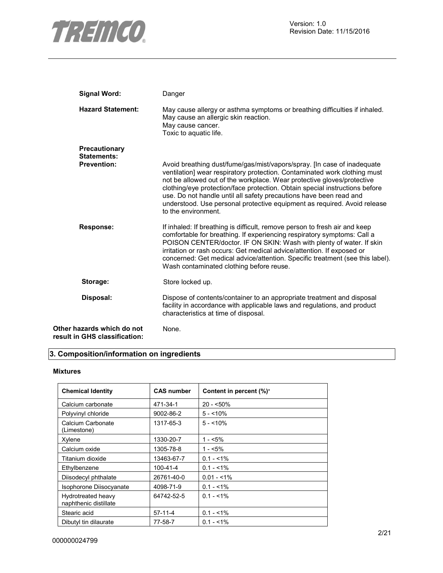

| <b>Signal Word:</b>                                         | Danger                                                                                                                                                                                                                                                                                                                                                                                                                                                                                 |
|-------------------------------------------------------------|----------------------------------------------------------------------------------------------------------------------------------------------------------------------------------------------------------------------------------------------------------------------------------------------------------------------------------------------------------------------------------------------------------------------------------------------------------------------------------------|
| <b>Hazard Statement:</b>                                    | May cause allergy or asthma symptoms or breathing difficulties if inhaled.<br>May cause an allergic skin reaction.<br>May cause cancer.<br>Toxic to aquatic life.                                                                                                                                                                                                                                                                                                                      |
| Precautionary<br><b>Statements:</b>                         |                                                                                                                                                                                                                                                                                                                                                                                                                                                                                        |
| <b>Prevention:</b>                                          | Avoid breathing dust/fume/gas/mist/vapors/spray. [In case of inadequate<br>ventilation] wear respiratory protection. Contaminated work clothing must<br>not be allowed out of the workplace. Wear protective gloves/protective<br>clothing/eye protection/face protection. Obtain special instructions before<br>use. Do not handle until all safety precautions have been read and<br>understood. Use personal protective equipment as required. Avoid release<br>to the environment. |
| <b>Response:</b>                                            | If inhaled: If breathing is difficult, remove person to fresh air and keep<br>comfortable for breathing. If experiencing respiratory symptoms: Call a<br>POISON CENTER/doctor. IF ON SKIN: Wash with plenty of water. If skin<br>irritation or rash occurs: Get medical advice/attention. If exposed or<br>concerned: Get medical advice/attention. Specific treatment (see this label).<br>Wash contaminated clothing before reuse.                                                   |
| Storage:                                                    | Store locked up.                                                                                                                                                                                                                                                                                                                                                                                                                                                                       |
| Disposal:                                                   | Dispose of contents/container to an appropriate treatment and disposal<br>facility in accordance with applicable laws and regulations, and product<br>characteristics at time of disposal.                                                                                                                                                                                                                                                                                             |
| Other hazards which do not<br>result in GHS classification: | None.                                                                                                                                                                                                                                                                                                                                                                                                                                                                                  |

# **3. Composition/information on ingredients**

#### **Mixtures**

| <b>Chemical Identity</b>                    | <b>CAS number</b> | Content in percent (%)* |
|---------------------------------------------|-------------------|-------------------------|
| Calcium carbonate                           | 471-34-1          | $20 - 50\%$             |
| Polyvinyl chloride                          | 9002-86-2         | $5 - 10\%$              |
| Calcium Carbonate<br>(Limestone)            | 1317-65-3         | $5 - 10\%$              |
| Xylene                                      | 1330-20-7         | $1 - 5\%$               |
| Calcium oxide                               | 1305-78-8         | $1 - 5\%$               |
| Titanium dioxide                            | 13463-67-7        | $0.1 - 1\%$             |
| Ethylbenzene                                | 100-41-4          | $0.1 - 1\%$             |
| Diisodecyl phthalate                        | 26761-40-0        | $0.01 - 1\%$            |
| Isophorone Diisocyanate                     | 4098-71-9         | $0.1 - 1\%$             |
| Hydrotreated heavy<br>naphthenic distillate | 64742-52-5        | $0.1 - 1\%$             |
| Stearic acid                                | $57-11-4$         | $0.1 - 1\%$             |
| Dibutyl tin dilaurate                       | 77-58-7           | $0.1 - 1\%$             |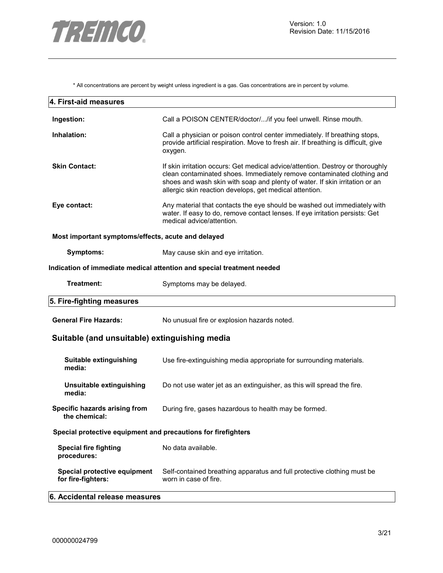

\* All concentrations are percent by weight unless ingredient is a gas. Gas concentrations are in percent by volume.

| 4. First-aid measures                                         |                                                                                                                                                                                                                                                                                                    |
|---------------------------------------------------------------|----------------------------------------------------------------------------------------------------------------------------------------------------------------------------------------------------------------------------------------------------------------------------------------------------|
| Ingestion:                                                    | Call a POISON CENTER/doctor//if you feel unwell. Rinse mouth.                                                                                                                                                                                                                                      |
| Inhalation:                                                   | Call a physician or poison control center immediately. If breathing stops,<br>provide artificial respiration. Move to fresh air. If breathing is difficult, give<br>oxygen.                                                                                                                        |
| <b>Skin Contact:</b>                                          | If skin irritation occurs: Get medical advice/attention. Destroy or thoroughly<br>clean contaminated shoes. Immediately remove contaminated clothing and<br>shoes and wash skin with soap and plenty of water. If skin irritation or an<br>allergic skin reaction develops, get medical attention. |
| Eye contact:                                                  | Any material that contacts the eye should be washed out immediately with<br>water. If easy to do, remove contact lenses. If eye irritation persists: Get<br>medical advice/attention.                                                                                                              |
| Most important symptoms/effects, acute and delayed            |                                                                                                                                                                                                                                                                                                    |
| <b>Symptoms:</b>                                              | May cause skin and eye irritation.                                                                                                                                                                                                                                                                 |
|                                                               | Indication of immediate medical attention and special treatment needed                                                                                                                                                                                                                             |
| Treatment:                                                    | Symptoms may be delayed.                                                                                                                                                                                                                                                                           |
| 5. Fire-fighting measures                                     |                                                                                                                                                                                                                                                                                                    |
| <b>General Fire Hazards:</b>                                  | No unusual fire or explosion hazards noted.                                                                                                                                                                                                                                                        |
| Suitable (and unsuitable) extinguishing media                 |                                                                                                                                                                                                                                                                                                    |
| Suitable extinguishing<br>media:                              | Use fire-extinguishing media appropriate for surrounding materials.                                                                                                                                                                                                                                |
| Unsuitable extinguishing<br>media:                            | Do not use water jet as an extinguisher, as this will spread the fire.                                                                                                                                                                                                                             |
| Specific hazards arising from<br>the chemical:                | During fire, gases hazardous to health may be formed.                                                                                                                                                                                                                                              |
| Special protective equipment and precautions for firefighters |                                                                                                                                                                                                                                                                                                    |
| <b>Special fire fighting</b><br>procedures:                   | No data available.                                                                                                                                                                                                                                                                                 |
| Special protective equipment<br>for fire-fighters:            | Self-contained breathing apparatus and full protective clothing must be<br>worn in case of fire.                                                                                                                                                                                                   |
| 6. Accidental release measures                                |                                                                                                                                                                                                                                                                                                    |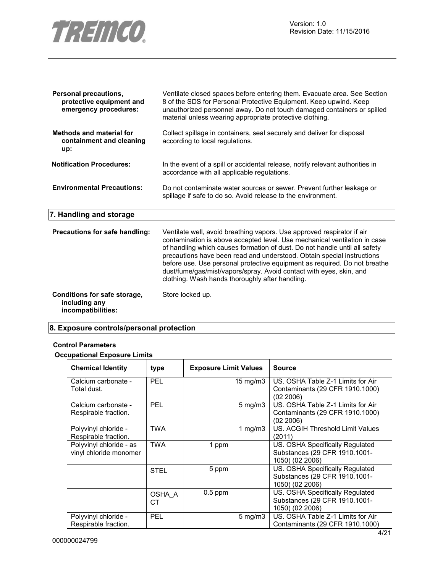

| <b>Personal precautions,</b><br>protective equipment and<br>emergency procedures: | Ventilate closed spaces before entering them. Evacuate area. See Section<br>8 of the SDS for Personal Protective Equipment. Keep upwind. Keep<br>unauthorized personnel away. Do not touch damaged containers or spilled<br>material unless wearing appropriate protective clothing.                                                                                                                                                                                                                               |
|-----------------------------------------------------------------------------------|--------------------------------------------------------------------------------------------------------------------------------------------------------------------------------------------------------------------------------------------------------------------------------------------------------------------------------------------------------------------------------------------------------------------------------------------------------------------------------------------------------------------|
| <b>Methods and material for</b><br>containment and cleaning<br>up:                | Collect spillage in containers, seal securely and deliver for disposal<br>according to local regulations.                                                                                                                                                                                                                                                                                                                                                                                                          |
| <b>Notification Procedures:</b>                                                   | In the event of a spill or accidental release, notify relevant authorities in<br>accordance with all applicable regulations.                                                                                                                                                                                                                                                                                                                                                                                       |
| <b>Environmental Precautions:</b>                                                 | Do not contaminate water sources or sewer. Prevent further leakage or<br>spillage if safe to do so. Avoid release to the environment.                                                                                                                                                                                                                                                                                                                                                                              |
| 7. Handling and storage                                                           |                                                                                                                                                                                                                                                                                                                                                                                                                                                                                                                    |
| Precautions for safe handling:                                                    | Ventilate well, avoid breathing vapors. Use approved respirator if air<br>contamination is above accepted level. Use mechanical ventilation in case<br>of handling which causes formation of dust. Do not handle until all safety<br>precautions have been read and understood. Obtain special instructions<br>before use. Use personal protective equipment as required. Do not breathe<br>dust/fume/gas/mist/vapors/spray. Avoid contact with eyes, skin, and<br>clothing. Wash hands thoroughly after handling. |
| Conditions for safe storage,<br>including any<br>incompatibilities:               | Store locked up.                                                                                                                                                                                                                                                                                                                                                                                                                                                                                                   |

# **8. Exposure controls/personal protection**

#### **Control Parameters**

# **Occupational Exposure Limits**

| <b>Chemical Identity</b>                          | type         | <b>Exposure Limit Values</b> |                    | <b>Source</b>                                                                       |
|---------------------------------------------------|--------------|------------------------------|--------------------|-------------------------------------------------------------------------------------|
| Calcium carbonate -<br>Total dust.                | <b>PEL</b>   |                              | $15 \text{ mg/m}$  | US. OSHA Table Z-1 Limits for Air<br>Contaminants (29 CFR 1910.1000)<br>(02 2006)   |
| Calcium carbonate -<br>Respirable fraction.       | <b>PEL</b>   |                              | $5 \text{ mg/m}$ 3 | US. OSHA Table Z-1 Limits for Air<br>Contaminants (29 CFR 1910.1000)<br>(02 2006)   |
| Polyvinyl chloride -<br>Respirable fraction.      | TWA          |                              | 1 mg/m $3$         | US. ACGIH Threshold Limit Values<br>(2011)                                          |
| Polyvinyl chloride - as<br>vinyl chloride monomer | <b>TWA</b>   | 1 ppm                        |                    | US. OSHA Specifically Regulated<br>Substances (29 CFR 1910.1001-<br>1050) (02 2006) |
|                                                   | STEL         | 5 ppm                        |                    | US. OSHA Specifically Regulated<br>Substances (29 CFR 1910.1001-<br>1050) (02 2006) |
|                                                   | OSHA A<br>CТ | $0.5$ ppm                    |                    | US. OSHA Specifically Regulated<br>Substances (29 CFR 1910.1001-<br>1050) (02 2006) |
| Polyvinyl chloride -<br>Respirable fraction.      | <b>PEL</b>   |                              | $5 \text{ mg/m}$   | US. OSHA Table Z-1 Limits for Air<br>Contaminants (29 CFR 1910.1000)                |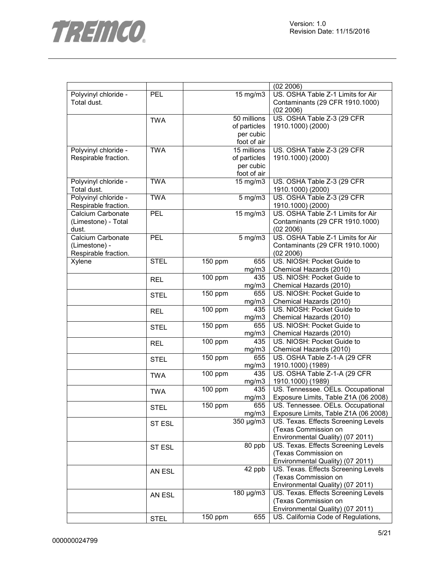

|                      |             |                      |                | (02 2006)                                                                 |
|----------------------|-------------|----------------------|----------------|---------------------------------------------------------------------------|
| Polyvinyl chloride - | <b>PEL</b>  |                      | 15 mg/m3       | US. OSHA Table Z-1 Limits for Air                                         |
| Total dust.          |             |                      |                | Contaminants (29 CFR 1910.1000)                                           |
|                      |             |                      |                | (02 2006)                                                                 |
|                      | <b>TWA</b>  |                      | 50 millions    | US. OSHA Table Z-3 (29 CFR                                                |
|                      |             |                      | of particles   | 1910.1000) (2000)                                                         |
|                      |             |                      | per cubic      |                                                                           |
|                      |             |                      | foot of air    |                                                                           |
| Polyvinyl chloride - | <b>TWA</b>  |                      | 15 millions    | US. OSHA Table Z-3 (29 CFR                                                |
| Respirable fraction. |             |                      | of particles   | 1910.1000) (2000)                                                         |
|                      |             |                      | per cubic      |                                                                           |
|                      |             |                      | foot of air    |                                                                           |
| Polyvinyl chloride - | <b>TWA</b>  |                      | 15 mg/m3       | US. OSHA Table Z-3 (29 CFR                                                |
| Total dust.          |             |                      |                | 1910.1000) (2000)                                                         |
|                      | <b>TWA</b>  |                      |                |                                                                           |
| Polyvinyl chloride - |             |                      | $5$ mg/m $3$   | US. OSHA Table Z-3 (29 CFR                                                |
| Respirable fraction. |             |                      |                | 1910.1000) (2000)                                                         |
| Calcium Carbonate    | PEL         |                      | 15 mg/m3       | US. OSHA Table Z-1 Limits for Air                                         |
| (Limestone) - Total  |             |                      |                | Contaminants (29 CFR 1910.1000)                                           |
| dust.                |             |                      |                | (02 2006)                                                                 |
| Calcium Carbonate    | PEL         |                      | $5$ mg/m $3$   | US. OSHA Table Z-1 Limits for Air                                         |
| (Limestone) -        |             |                      |                | Contaminants (29 CFR 1910.1000)                                           |
| Respirable fraction. |             |                      |                | (02 2006)                                                                 |
| Xylene               | <b>STEL</b> | 150 ppm              | 655            | US. NIOSH: Pocket Guide to                                                |
|                      |             |                      | mg/m3          | Chemical Hazards (2010)                                                   |
|                      | <b>REL</b>  | 100 ppm              | 435            | US. NIOSH: Pocket Guide to                                                |
|                      |             |                      | mg/m3          | Chemical Hazards (2010)                                                   |
|                      | <b>STEL</b> | 150 ppm              | 655            | US. NIOSH: Pocket Guide to                                                |
|                      |             |                      | mg/m3          | Chemical Hazards (2010)                                                   |
|                      | <b>REL</b>  | $\overline{100}$ ppm | 435            | US. NIOSH: Pocket Guide to                                                |
|                      |             |                      | mg/m3          | Chemical Hazards (2010)                                                   |
|                      | <b>STEL</b> | 150 ppm              | 655            | US. NIOSH: Pocket Guide to                                                |
|                      |             |                      | mg/m3          | Chemical Hazards (2010)                                                   |
|                      |             | $100$ ppm            | 435            | US. NIOSH: Pocket Guide to                                                |
|                      | <b>REL</b>  |                      | mg/m3          | Chemical Hazards (2010)                                                   |
|                      |             | 150 ppm              | 655            | US. OSHA Table Z-1-A (29 CFR                                              |
|                      | <b>STEL</b> |                      | mg/m3          | 1910.1000) (1989)                                                         |
|                      |             | 100 ppm              | 435            | US. OSHA Table Z-1-A (29 CFR                                              |
|                      | <b>TWA</b>  |                      | mg/m3          | 1910.1000) (1989)                                                         |
|                      |             |                      | 435            | US. Tennessee. OELs. Occupational                                         |
|                      | <b>TWA</b>  | 100 ppm              |                |                                                                           |
|                      |             |                      | mg/m3<br>655   | Exposure Limits, Table Z1A (06 2008)<br>US. Tennessee. OELs. Occupational |
|                      | <b>STEL</b> | $\overline{1}50$ ppm |                |                                                                           |
|                      |             |                      | mg/m3          | Exposure Limits, Table Z1A (06 2008)                                      |
|                      | ST ESL      |                      | 350 µg/m3      | US. Texas. Effects Screening Levels                                       |
|                      |             |                      |                | (Texas Commission on                                                      |
|                      |             |                      |                | Environmental Quality) (07 2011)                                          |
|                      | ST ESL      |                      | $80$ ppb       | US. Texas. Effects Screening Levels                                       |
|                      |             |                      |                | (Texas Commission on                                                      |
|                      |             |                      |                | Environmental Quality) (07 2011)                                          |
|                      | AN ESL      |                      | 42 ppb         | US. Texas. Effects Screening Levels                                       |
|                      |             |                      |                | (Texas Commission on                                                      |
|                      |             |                      |                | Environmental Quality) (07 2011)                                          |
|                      | AN ESL      |                      | $180 \mu g/m3$ | US. Texas. Effects Screening Levels                                       |
|                      |             |                      |                | (Texas Commission on                                                      |
|                      |             |                      |                | Environmental Quality) (07 2011)                                          |
|                      | <b>STEL</b> | 150 ppm              | 655            | US. California Code of Regulations,                                       |
|                      |             |                      |                |                                                                           |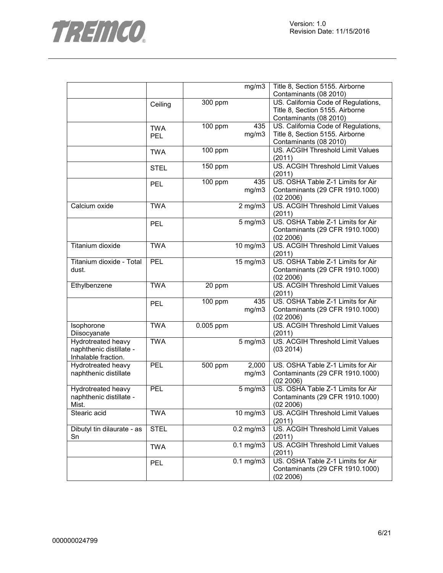

|                            |             |           | mg/m3             | Title 8, Section 5155. Airborne         |
|----------------------------|-------------|-----------|-------------------|-----------------------------------------|
|                            |             |           |                   | Contaminants (08 2010)                  |
|                            | Ceiling     | 300 ppm   |                   | US. California Code of Regulations,     |
|                            |             |           |                   | Title 8, Section 5155. Airborne         |
|                            |             |           |                   | Contaminants (08 2010)                  |
|                            | <b>TWA</b>  | 100 ppm   | 435               | US. California Code of Regulations,     |
|                            | <b>PEL</b>  |           | mg/m3             | Title 8, Section 5155. Airborne         |
|                            |             |           |                   | Contaminants (08 2010)                  |
|                            | <b>TWA</b>  | 100 ppm   |                   | US. ACGIH Threshold Limit Values        |
|                            |             |           |                   | (2011)                                  |
|                            | <b>STEL</b> | 150 ppm   |                   | US. ACGIH Threshold Limit Values        |
|                            |             |           |                   | (2011)                                  |
|                            | <b>PEL</b>  | 100 ppm   | 435               | US. OSHA Table Z-1 Limits for Air       |
|                            |             |           | mg/m3             | Contaminants (29 CFR 1910.1000)         |
|                            |             |           |                   | (02 2006)                               |
| Calcium oxide              | <b>TWA</b>  |           | $2$ mg/m $3$      | US. ACGIH Threshold Limit Values        |
|                            |             |           |                   | (2011)                                  |
|                            | <b>PEL</b>  |           | $5$ mg/m $3$      | US. OSHA Table Z-1 Limits for Air       |
|                            |             |           |                   | Contaminants (29 CFR 1910.1000)         |
|                            |             |           |                   | (02 2006)                               |
| Titanium dioxide           | <b>TWA</b>  |           | 10 mg/m3          | US. ACGIH Threshold Limit Values        |
|                            |             |           |                   | (2011)                                  |
| Titanium dioxide - Total   | <b>PEL</b>  |           | 15 mg/m3          | US. OSHA Table Z-1 Limits for Air       |
| dust.                      |             |           |                   | Contaminants (29 CFR 1910.1000)         |
|                            |             |           |                   | (02 2006)                               |
| Ethylbenzene               | <b>TWA</b>  | 20 ppm    |                   | <b>US. ACGIH Threshold Limit Values</b> |
|                            |             |           |                   | (2011)                                  |
|                            | <b>PEL</b>  | 100 ppm   | 435               | US. OSHA Table Z-1 Limits for Air       |
|                            |             |           | mg/m3             | Contaminants (29 CFR 1910.1000)         |
|                            |             |           |                   | (02 2006)                               |
| Isophorone                 | <b>TWA</b>  | 0.005 ppm |                   | US. ACGIH Threshold Limit Values        |
| Diisocyanate               |             |           |                   | (2011)                                  |
| <b>Hydrotreated heavy</b>  | <b>TWA</b>  |           | $5$ mg/m $3$      | <b>US. ACGIH Threshold Limit Values</b> |
| naphthenic distillate -    |             |           |                   | (03 2014)                               |
| Inhalable fraction.        |             |           |                   |                                         |
| <b>Hydrotreated heavy</b>  | PEL         | 500 ppm   | 2,000             | US. OSHA Table Z-1 Limits for Air       |
| naphthenic distillate      |             |           | mg/m3             | Contaminants (29 CFR 1910.1000)         |
|                            |             |           |                   | (02 2006)                               |
| Hydrotreated heavy         | <b>PEL</b>  |           | $5$ mg/m $3$      | US. OSHA Table Z-1 Limits for Air       |
| naphthenic distillate -    |             |           |                   | Contaminants (29 CFR 1910.1000)         |
| Mist.                      |             |           |                   | (02 2006)                               |
| Stearic acid               | <b>TWA</b>  |           | $10 \text{ mg/m}$ | US. ACGIH Threshold Limit Values        |
|                            |             |           |                   | (2011)                                  |
| Dibutyl tin dilaurate - as | <b>STEL</b> |           | $0.2$ mg/m $3$    | US. ACGIH Threshold Limit Values        |
| Sn                         |             |           |                   | (2011)                                  |
|                            | <b>TWA</b>  |           | $0.1$ mg/m $3$    | US. ACGIH Threshold Limit Values        |
|                            |             |           |                   | (2011)                                  |
|                            | <b>PEL</b>  |           | $0.1$ mg/m $3$    | US. OSHA Table Z-1 Limits for Air       |
|                            |             |           |                   | Contaminants (29 CFR 1910.1000)         |
|                            |             |           |                   | (02 2006)                               |
|                            |             |           |                   |                                         |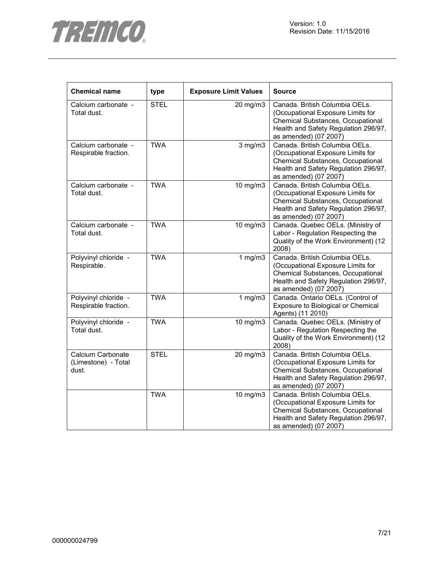



| <b>Chemical name</b>                              | type        | <b>Exposure Limit Values</b> | <b>Source</b>                                                                                                                                                             |
|---------------------------------------------------|-------------|------------------------------|---------------------------------------------------------------------------------------------------------------------------------------------------------------------------|
| Calcium carbonate -<br>Total dust.                | <b>STEL</b> | 20 mg/m3                     | Canada. British Columbia OELs.<br>(Occupational Exposure Limits for<br>Chemical Substances, Occupational<br>Health and Safety Regulation 296/97,<br>as amended) (07 2007) |
| Calcium carbonate -<br>Respirable fraction.       | <b>TWA</b>  | $3$ mg/m $3$                 | Canada. British Columbia OELs.<br>(Occupational Exposure Limits for<br>Chemical Substances, Occupational<br>Health and Safety Regulation 296/97,<br>as amended) (07 2007) |
| Calcium carbonate -<br>Total dust.                | <b>TWA</b>  | 10 mg/m3                     | Canada. British Columbia OELs.<br>(Occupational Exposure Limits for<br>Chemical Substances, Occupational<br>Health and Safety Regulation 296/97,<br>as amended) (07 2007) |
| Calcium carbonate -<br>Total dust.                | <b>TWA</b>  | 10 mg/m3                     | Canada. Quebec OELs. (Ministry of<br>Labor - Regulation Respecting the<br>Quality of the Work Environment) (12<br>2008)                                                   |
| Polyvinyl chloride -<br>Respirable.               | <b>TWA</b>  | 1 $mg/m3$                    | Canada. British Columbia OELs.<br>(Occupational Exposure Limits for<br>Chemical Substances, Occupational<br>Health and Safety Regulation 296/97,<br>as amended) (07 2007) |
| Polyvinyl chloride -<br>Respirable fraction.      | <b>TWA</b>  | 1 $mg/m3$                    | Canada. Ontario OELs. (Control of<br>Exposure to Biological or Chemical<br>Agents) (11 2010)                                                                              |
| Polyvinyl chloride -<br>Total dust.               | <b>TWA</b>  | 10 mg/m3                     | Canada. Quebec OELs. (Ministry of<br>Labor - Regulation Respecting the<br>Quality of the Work Environment) (12<br>2008)                                                   |
| Calcium Carbonate<br>(Limestone) - Total<br>dust. | <b>STEL</b> | 20 mg/m3                     | Canada. British Columbia OELs.<br>(Occupational Exposure Limits for<br>Chemical Substances, Occupational<br>Health and Safety Regulation 296/97,<br>as amended) (07 2007) |
|                                                   | <b>TWA</b>  | 10 mg/m3                     | Canada. British Columbia OELs.<br>(Occupational Exposure Limits for<br>Chemical Substances, Occupational<br>Health and Safety Regulation 296/97,<br>as amended) (07 2007) |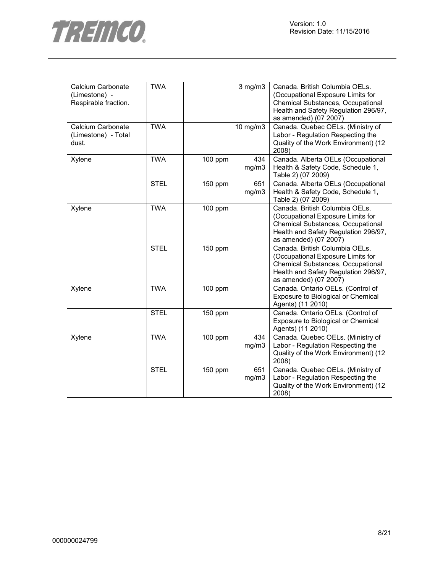

| Calcium Carbonate<br>(Limestone) -<br>Respirable fraction. | <b>TWA</b>  |           | $3$ mg/m $3$ | Canada. British Columbia OELs.<br>(Occupational Exposure Limits for<br>Chemical Substances, Occupational<br>Health and Safety Regulation 296/97,<br>as amended) (07 2007) |
|------------------------------------------------------------|-------------|-----------|--------------|---------------------------------------------------------------------------------------------------------------------------------------------------------------------------|
| Calcium Carbonate<br>(Limestone) - Total<br>dust.          | <b>TWA</b>  |           | 10 mg/m3     | Canada. Quebec OELs. (Ministry of<br>Labor - Regulation Respecting the<br>Quality of the Work Environment) (12<br>2008)                                                   |
| Xylene                                                     | <b>TWA</b>  | 100 ppm   | 434<br>mg/m3 | Canada. Alberta OELs (Occupational<br>Health & Safety Code, Schedule 1,<br>Table 2) (07 2009)                                                                             |
|                                                            | <b>STEL</b> | 150 ppm   | 651<br>mg/m3 | Canada. Alberta OELs (Occupational<br>Health & Safety Code, Schedule 1,<br>Table 2) (07 2009)                                                                             |
| Xylene                                                     | <b>TWA</b>  | 100 ppm   |              | Canada. British Columbia OELs.<br>(Occupational Exposure Limits for<br>Chemical Substances, Occupational<br>Health and Safety Regulation 296/97,<br>as amended) (07 2007) |
|                                                            | <b>STEL</b> | 150 ppm   |              | Canada. British Columbia OELs.<br>(Occupational Exposure Limits for<br>Chemical Substances, Occupational<br>Health and Safety Regulation 296/97,<br>as amended) (07 2007) |
| Xylene                                                     | <b>TWA</b>  | 100 ppm   |              | Canada. Ontario OELs. (Control of<br>Exposure to Biological or Chemical<br>Agents) (11 2010)                                                                              |
|                                                            | <b>STEL</b> | 150 ppm   |              | Canada. Ontario OELs. (Control of<br>Exposure to Biological or Chemical<br>Agents) (11 2010)                                                                              |
| Xylene                                                     | <b>TWA</b>  | $100$ ppm | 434<br>mg/m3 | Canada. Quebec OELs. (Ministry of<br>Labor - Regulation Respecting the<br>Quality of the Work Environment) (12<br>2008)                                                   |
|                                                            | <b>STEL</b> | 150 ppm   | 651<br>mg/m3 | Canada. Quebec OELs. (Ministry of<br>Labor - Regulation Respecting the<br>Quality of the Work Environment) (12<br>2008)                                                   |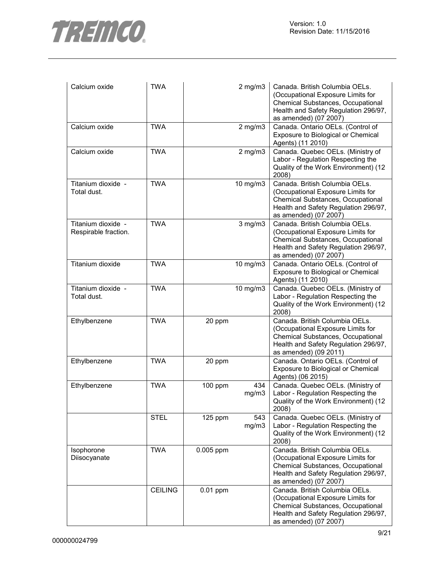

| Calcium oxide                              | <b>TWA</b>     |            | $2$ mg/m $3$ | Canada. British Columbia OELs.<br>(Occupational Exposure Limits for<br>Chemical Substances, Occupational<br>Health and Safety Regulation 296/97,<br>as amended) (07 2007) |
|--------------------------------------------|----------------|------------|--------------|---------------------------------------------------------------------------------------------------------------------------------------------------------------------------|
| Calcium oxide                              | <b>TWA</b>     |            | $2$ mg/m $3$ | Canada. Ontario OELs. (Control of<br>Exposure to Biological or Chemical<br>Agents) (11 2010)                                                                              |
| Calcium oxide                              | <b>TWA</b>     |            | $2$ mg/m $3$ | Canada. Quebec OELs. (Ministry of<br>Labor - Regulation Respecting the<br>Quality of the Work Environment) (12<br>2008)                                                   |
| Titanium dioxide -<br>Total dust.          | <b>TWA</b>     |            | 10 mg/m3     | Canada. British Columbia OELs.<br>(Occupational Exposure Limits for<br>Chemical Substances, Occupational<br>Health and Safety Regulation 296/97,<br>as amended) (07 2007) |
| Titanium dioxide -<br>Respirable fraction. | <b>TWA</b>     |            | $3$ mg/m $3$ | Canada. British Columbia OELs.<br>(Occupational Exposure Limits for<br>Chemical Substances, Occupational<br>Health and Safety Regulation 296/97,<br>as amended) (07 2007) |
| Titanium dioxide                           | <b>TWA</b>     |            | 10 mg/m3     | Canada. Ontario OELs. (Control of<br>Exposure to Biological or Chemical<br>Agents) (11 2010)                                                                              |
| Titanium dioxide -<br>Total dust.          | <b>TWA</b>     |            | 10 mg/m3     | Canada. Quebec OELs. (Ministry of<br>Labor - Regulation Respecting the<br>Quality of the Work Environment) (12<br>2008)                                                   |
| Ethylbenzene                               | <b>TWA</b>     | 20 ppm     |              | Canada. British Columbia OELs.<br>(Occupational Exposure Limits for<br>Chemical Substances, Occupational<br>Health and Safety Regulation 296/97,<br>as amended) (09 2011) |
| Ethylbenzene                               | <b>TWA</b>     | 20 ppm     |              | Canada. Ontario OELs. (Control of<br>Exposure to Biological or Chemical<br>Agents) (06 2015)                                                                              |
| Ethylbenzene                               | <b>TWA</b>     | 100 ppm    | 434<br>mg/m3 | Canada. Quebec OELs. (Ministry of<br>Labor - Regulation Respecting the<br>Quality of the Work Environment) (12<br>2008)                                                   |
|                                            | <b>STEL</b>    | $125$ ppm  | 543<br>mg/m3 | Canada. Quebec OELs. (Ministry of<br>Labor - Regulation Respecting the<br>Quality of the Work Environment) (12<br>2008)                                                   |
| Isophorone<br>Diisocyanate                 | <b>TWA</b>     | 0.005 ppm  |              | Canada. British Columbia OELs.<br>(Occupational Exposure Limits for<br>Chemical Substances, Occupational<br>Health and Safety Regulation 296/97,<br>as amended) (07 2007) |
|                                            | <b>CEILING</b> | $0.01$ ppm |              | Canada. British Columbia OELs.<br>(Occupational Exposure Limits for<br>Chemical Substances, Occupational<br>Health and Safety Regulation 296/97,<br>as amended) (07 2007) |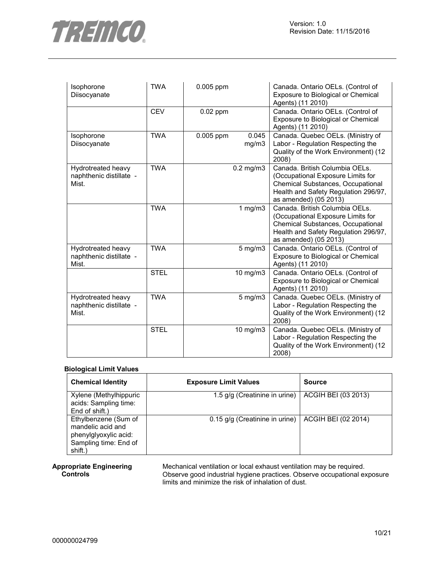

| Isophorone<br>Diisocyanate                             | <b>TWA</b>  | 0.005 ppm  |                | Canada. Ontario OELs. (Control of<br>Exposure to Biological or Chemical<br>Agents) (11 2010)                                                                                     |
|--------------------------------------------------------|-------------|------------|----------------|----------------------------------------------------------------------------------------------------------------------------------------------------------------------------------|
|                                                        | <b>CEV</b>  | $0.02$ ppm |                | Canada. Ontario OELs. (Control of<br>Exposure to Biological or Chemical<br>Agents) (11 2010)                                                                                     |
| Isophorone<br>Diisocyanate                             | <b>TWA</b>  | 0.005 ppm  | 0.045<br>mg/m3 | Canada. Quebec OELs. (Ministry of<br>Labor - Regulation Respecting the<br>Quality of the Work Environment) (12<br>2008)                                                          |
| Hydrotreated heavy<br>naphthenic distillate -<br>Mist. | <b>TWA</b>  |            | $0.2$ mg/m $3$ | Canada. British Columbia OELs.<br>(Occupational Exposure Limits for<br><b>Chemical Substances, Occupational</b><br>Health and Safety Regulation 296/97,<br>as amended) (05 2013) |
|                                                        | <b>TWA</b>  |            | 1 $mg/m3$      | Canada. British Columbia OELs.<br>(Occupational Exposure Limits for<br>Chemical Substances, Occupational<br>Health and Safety Regulation 296/97,<br>as amended) (05 2013)        |
| Hydrotreated heavy<br>naphthenic distillate -<br>Mist. | <b>TWA</b>  |            | $5$ mg/m $3$   | Canada. Ontario OELs. (Control of<br>Exposure to Biological or Chemical<br>Agents) (11 2010)                                                                                     |
|                                                        | <b>STEL</b> |            | 10 mg/m3       | Canada. Ontario OELs. (Control of<br>Exposure to Biological or Chemical<br>Agents) (11 2010)                                                                                     |
| Hydrotreated heavy<br>naphthenic distillate -<br>Mist. | <b>TWA</b>  |            | $5$ mg/m $3$   | Canada. Quebec OELs. (Ministry of<br>Labor - Regulation Respecting the<br>Quality of the Work Environment) (12<br>2008)                                                          |
|                                                        | <b>STEL</b> |            | 10 mg/m3       | Canada. Quebec OELs. (Ministry of<br>Labor - Regulation Respecting the<br>Quality of the Work Environment) (12<br>2008)                                                          |

#### **Biological Limit Values**

| <b>Chemical Identity</b>                                                                               | <b>Exposure Limit Values</b>   | <b>Source</b>       |
|--------------------------------------------------------------------------------------------------------|--------------------------------|---------------------|
| Xylene (Methylhippuric<br>acids: Sampling time:<br>End of shift.)                                      | 1.5 g/g (Creatinine in urine)  | ACGIH BEI (03 2013) |
| Ethylbenzene (Sum of<br>mandelic acid and<br>phenylglyoxylic acid:<br>Sampling time: End of<br>shift.) | 0.15 g/g (Creatinine in urine) | ACGIH BEI (02 2014) |

#### **Appropriate Engineering Controls**

Mechanical ventilation or local exhaust ventilation may be required. Observe good industrial hygiene practices. Observe occupational exposure limits and minimize the risk of inhalation of dust.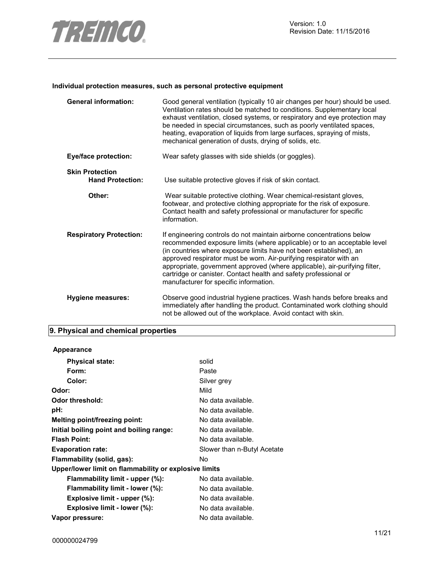

#### **Individual protection measures, such as personal protective equipment**

| <b>General information:</b>                       | Good general ventilation (typically 10 air changes per hour) should be used.<br>Ventilation rates should be matched to conditions. Supplementary local<br>exhaust ventilation, closed systems, or respiratory and eye protection may<br>be needed in special circumstances, such as poorly ventilated spaces,<br>heating, evaporation of liquids from large surfaces, spraying of mists,<br>mechanical generation of dusts, drying of solids, etc.                                        |
|---------------------------------------------------|-------------------------------------------------------------------------------------------------------------------------------------------------------------------------------------------------------------------------------------------------------------------------------------------------------------------------------------------------------------------------------------------------------------------------------------------------------------------------------------------|
| <b>Eye/face protection:</b>                       | Wear safety glasses with side shields (or goggles).                                                                                                                                                                                                                                                                                                                                                                                                                                       |
| <b>Skin Protection</b><br><b>Hand Protection:</b> | Use suitable protective gloves if risk of skin contact.                                                                                                                                                                                                                                                                                                                                                                                                                                   |
| Other:                                            | Wear suitable protective clothing. Wear chemical-resistant gloves,<br>footwear, and protective clothing appropriate for the risk of exposure.<br>Contact health and safety professional or manufacturer for specific<br>information.                                                                                                                                                                                                                                                      |
| <b>Respiratory Protection:</b>                    | If engineering controls do not maintain airborne concentrations below<br>recommended exposure limits (where applicable) or to an acceptable level<br>(in countries where exposure limits have not been established), an<br>approved respirator must be worn. Air-purifying respirator with an<br>appropriate, government approved (where applicable), air-purifying filter,<br>cartridge or canister. Contact health and safety professional or<br>manufacturer for specific information. |
| Hygiene measures:                                 | Observe good industrial hygiene practices. Wash hands before breaks and<br>immediately after handling the product. Contaminated work clothing should<br>not be allowed out of the workplace. Avoid contact with skin.                                                                                                                                                                                                                                                                     |

# **9. Physical and chemical properties**

| <b>Appearance</b>                                     |                             |
|-------------------------------------------------------|-----------------------------|
| <b>Physical state:</b>                                | solid                       |
| Form:                                                 | Paste                       |
| Color:                                                | Silver grey                 |
| Odor:                                                 | Mild                        |
| Odor threshold:                                       | No data available.          |
| pH:                                                   | No data available.          |
| Melting point/freezing point:                         | No data available.          |
| Initial boiling point and boiling range:              | No data available.          |
| <b>Flash Point:</b>                                   | No data available.          |
| <b>Evaporation rate:</b>                              | Slower than n-Butyl Acetate |
| Flammability (solid, gas):                            | No.                         |
| Upper/lower limit on flammability or explosive limits |                             |
| Flammability limit - upper (%):                       | No data available.          |
| Flammability limit - lower (%):                       | No data available.          |
| Explosive limit - upper (%):                          | No data available.          |
| Explosive limit - lower (%):                          | No data available.          |
| Vapor pressure:                                       | No data available.          |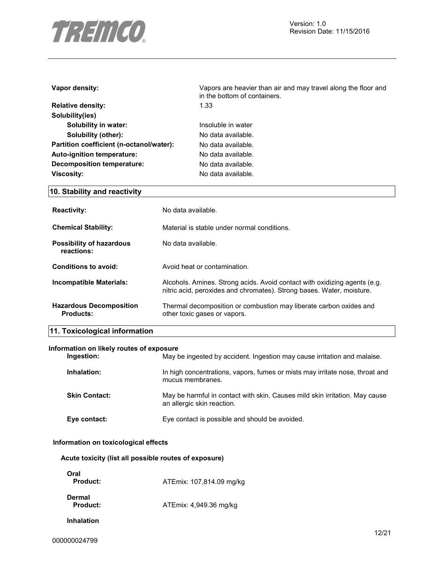

| Vapor density:                           | Vapors are heavier than air and may travel along the floor and<br>in the bottom of containers. |  |  |
|------------------------------------------|------------------------------------------------------------------------------------------------|--|--|
| <b>Relative density:</b>                 | 1.33                                                                                           |  |  |
| Solubility(ies)                          |                                                                                                |  |  |
| Solubility in water:                     | Insoluble in water                                                                             |  |  |
| Solubility (other):                      | No data available.                                                                             |  |  |
| Partition coefficient (n-octanol/water): | No data available.                                                                             |  |  |
| Auto-ignition temperature:               | No data available.                                                                             |  |  |
| Decomposition temperature:               | No data available.                                                                             |  |  |
| <b>Viscosity:</b>                        | No data available.                                                                             |  |  |
| 10. Stability and reactivity             |                                                                                                |  |  |
| <b>Reactivity:</b>                       | No data available.                                                                             |  |  |

| <b>Chemical Stability:</b>                         | Material is stable under normal conditions.                                                                                                        |
|----------------------------------------------------|----------------------------------------------------------------------------------------------------------------------------------------------------|
| <b>Possibility of hazardous</b><br>reactions:      | No data available.                                                                                                                                 |
| Conditions to avoid:                               | Avoid heat or contamination.                                                                                                                       |
| Incompatible Materials:                            | Alcohols. Amines. Strong acids. Avoid contact with oxidizing agents (e.g.<br>nitric acid, peroxides and chromates). Strong bases. Water, moisture. |
| <b>Hazardous Decomposition</b><br><b>Products:</b> | Thermal decomposition or combustion may liberate carbon oxides and<br>other toxic gases or vapors.                                                 |

# **11. Toxicological information**

#### **Information on likely routes of exposure**

| Ingestion:           | May be ingested by accident. Ingestion may cause irritation and malaise.                                  |
|----------------------|-----------------------------------------------------------------------------------------------------------|
| Inhalation:          | In high concentrations, vapors, fumes or mists may irritate nose, throat and<br>mucus membranes.          |
| <b>Skin Contact:</b> | May be harmful in contact with skin. Causes mild skin irritation. May cause<br>an allergic skin reaction. |
| Eye contact:         | Eye contact is possible and should be avoided.                                                            |

### **Information on toxicological effects**

|  |  |  |  |  | Acute toxicity (list all possible routes of exposure) |
|--|--|--|--|--|-------------------------------------------------------|
|--|--|--|--|--|-------------------------------------------------------|

| Oral<br>Product:   | ATEmix: 107,814.09 mg/kg |
|--------------------|--------------------------|
| Dermal<br>Product: | ATEmix: 4,949.36 mg/kg   |
| <b>Inhalation</b>  |                          |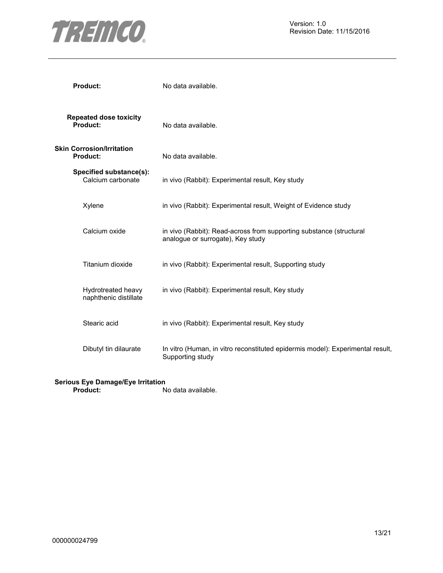

| <b>Product:</b>                              | No data available.                                                                                       |
|----------------------------------------------|----------------------------------------------------------------------------------------------------------|
| <b>Repeated dose toxicity</b><br>Product:    | No data available.                                                                                       |
| <b>Skin Corrosion/Irritation</b><br>Product: | No data available.                                                                                       |
| Specified substance(s):<br>Calcium carbonate | in vivo (Rabbit): Experimental result, Key study                                                         |
| Xylene                                       | in vivo (Rabbit): Experimental result, Weight of Evidence study                                          |
| Calcium oxide                                | in vivo (Rabbit): Read-across from supporting substance (structural<br>analogue or surrogate), Key study |
| Titanium dioxide                             | in vivo (Rabbit): Experimental result, Supporting study                                                  |
| Hydrotreated heavy<br>naphthenic distillate  | in vivo (Rabbit): Experimental result, Key study                                                         |
| Stearic acid                                 | in vivo (Rabbit): Experimental result, Key study                                                         |
| Dibutyl tin dilaurate                        | In vitro (Human, in vitro reconstituted epidermis model): Experimental result,<br>Supporting study       |

#### **Serious Eye Damage/Eye Irritation**

**Product:** No data available.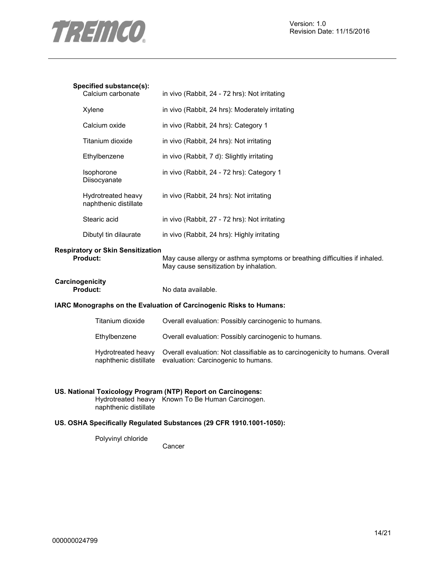

#### **Specified substance(s):**

| Jecilied SubStance(S).<br>Calcium carbonate | in vivo (Rabbit, 24 - 72 hrs): Not irritating   |
|---------------------------------------------|-------------------------------------------------|
| Xylene                                      | in vivo (Rabbit, 24 hrs): Moderately irritating |
| Calcium oxide                               | in vivo (Rabbit, 24 hrs): Category 1            |
| Titanium dioxide                            | in vivo (Rabbit, 24 hrs): Not irritating        |
| Ethylbenzene                                | in vivo (Rabbit, 7 d): Slightly irritating      |
| Isophorone<br>Diisocyanate                  | in vivo (Rabbit, 24 - 72 hrs): Category 1       |
| Hydrotreated heavy<br>naphthenic distillate | in vivo (Rabbit, 24 hrs): Not irritating        |
| Stearic acid                                | in vivo (Rabbit, 27 - 72 hrs): Not irritating   |
| Dibutyl tin dilaurate                       | in vivo (Rabbit, 24 hrs): Highly irritating     |

# **Respiratory or Skin Sensitization**

May cause allergy or asthma symptoms or breathing difficulties if inhaled. May cause sensitization by inhalation.

# **Carcinogenicity**

No data available.

#### **IARC Monographs on the Evaluation of Carcinogenic Risks to Humans:**

| Titanium dioxide                            | Overall evaluation: Possibly carcinogenic to humans.                                                                 |
|---------------------------------------------|----------------------------------------------------------------------------------------------------------------------|
| Ethylbenzene                                | Overall evaluation: Possibly carcinogenic to humans.                                                                 |
| Hydrotreated heavy<br>naphthenic distillate | Overall evaluation: Not classifiable as to carcinogenicity to humans. Overall<br>evaluation: Carcinogenic to humans. |

### **US. National Toxicology Program (NTP) Report on Carcinogens:**

Hydrotreated heavy Known To Be Human Carcinogen. naphthenic distillate

### **US. OSHA Specifically Regulated Substances (29 CFR 1910.1001-1050):**

Polyvinyl chloride

Cancer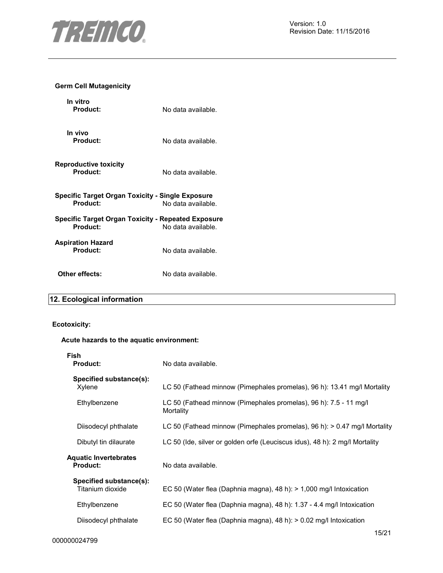

### **Germ Cell Mutagenicity**

| No data available.                                                              |
|---------------------------------------------------------------------------------|
| No data available.                                                              |
| No data available.                                                              |
| Specific Target Organ Toxicity - Single Exposure<br>No data available.          |
| <b>Specific Target Organ Toxicity - Repeated Exposure</b><br>No data available. |
| No data available.                                                              |
| No data available.                                                              |
|                                                                                 |

# **12. Ecological information**

# **Ecotoxicity:**

#### **Acute hazards to the aquatic environment:**

| Fish<br><b>Product:</b>                         | No data available.                                                             |
|-------------------------------------------------|--------------------------------------------------------------------------------|
| Specified substance(s):<br>Xylene               | LC 50 (Fathead minnow (Pimephales promelas), 96 h): 13.41 mg/l Mortality       |
| Ethylbenzene                                    | LC 50 (Fathead minnow (Pimephales promelas), 96 h): 7.5 - 11 mg/l<br>Mortality |
| Diisodecyl phthalate                            | LC 50 (Fathead minnow (Pimephales promelas), 96 h): > 0.47 mg/l Mortality      |
| Dibutyl tin dilaurate                           | LC 50 (Ide, silver or golden orfe (Leuciscus idus), 48 h): 2 mg/l Mortality    |
| <b>Aquatic Invertebrates</b><br><b>Product:</b> | No data available.                                                             |
| Specified substance(s):<br>Titanium dioxide     | EC 50 (Water flea (Daphnia magna), 48 h): $> 1,000$ mg/l Intoxication          |
| Ethylbenzene                                    | EC 50 (Water flea (Daphnia magna), 48 h): 1.37 - 4.4 mg/l Intoxication         |
| Diisodecyl phthalate                            | EC 50 (Water flea (Daphnia magna), 48 h): > 0.02 mg/l Intoxication             |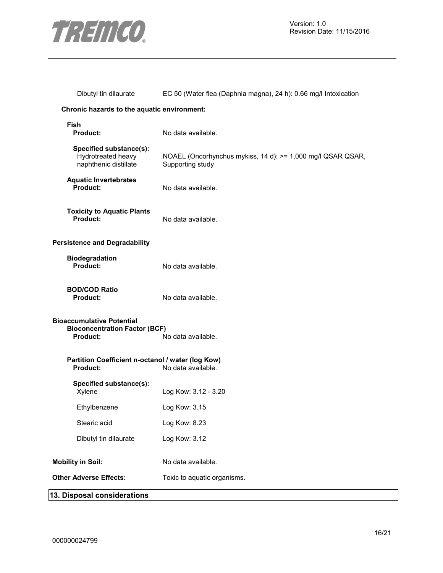

| Dibutyl tin dilaurate                                                                | EC 50 (Water flea (Daphnia magna), 24 h): 0.66 mg/l Intoxication                |
|--------------------------------------------------------------------------------------|---------------------------------------------------------------------------------|
| Chronic hazards to the aquatic environment:                                          |                                                                                 |
| <b>Fish</b><br>Product:                                                              | No data available.                                                              |
| Specified substance(s):<br>Hydrotreated heavy<br>naphthenic distillate               | NOAEL (Oncorhynchus mykiss, 14 d): >= 1,000 mg/l QSAR QSAR,<br>Supporting study |
| <b>Aquatic Invertebrates</b><br>Product:                                             | No data available.                                                              |
| <b>Toxicity to Aquatic Plants</b><br>Product:                                        | No data available.                                                              |
| <b>Persistence and Degradability</b>                                                 |                                                                                 |
| <b>Biodegradation</b><br>Product:                                                    | No data available.                                                              |
| <b>BOD/COD Ratio</b><br>Product:                                                     | No data available.                                                              |
| <b>Bioaccumulative Potential</b><br><b>Bioconcentration Factor (BCF)</b><br>Product: | No data available.                                                              |
| Partition Coefficient n-octanol / water (log Kow)<br>Product:                        | No data available.                                                              |
| Specified substance(s):<br>Xylene                                                    | Log Kow: 3.12 - 3.20                                                            |
| Ethylbenzene                                                                         | Log Kow: 3.15                                                                   |
| Stearic acid                                                                         | Log Kow: 8.23                                                                   |
| Dibutyl tin dilaurate                                                                | Log Kow: 3.12                                                                   |
| <b>Mobility in Soil:</b>                                                             | No data available.                                                              |
| <b>Other Adverse Effects:</b>                                                        | Toxic to aquatic organisms.                                                     |
| 13. Disposal considerations                                                          |                                                                                 |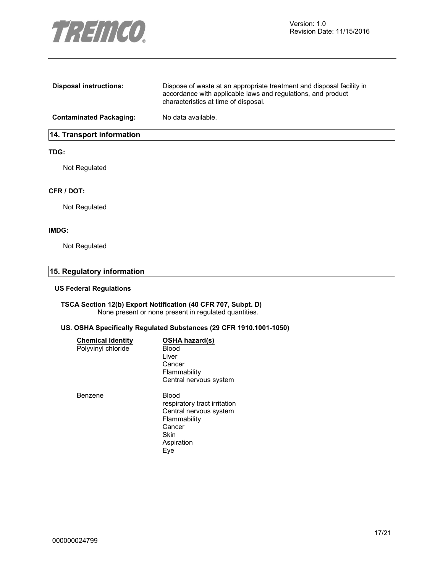

| <b>Disposal instructions:</b>    | Dispose of waste at an appropriate treatment and disposal facility in<br>accordance with applicable laws and regulations, and product<br>characteristics at time of disposal. |
|----------------------------------|-------------------------------------------------------------------------------------------------------------------------------------------------------------------------------|
| <b>Contaminated Packaging:</b>   | No data available.                                                                                                                                                            |
| <b>14. Transport information</b> |                                                                                                                                                                               |

#### **TDG:**

Not Regulated

#### **CFR / DOT:**

Not Regulated

#### **IMDG:**

Not Regulated

# **15. Regulatory information**

#### **US Federal Regulations**

#### **TSCA Section 12(b) Export Notification (40 CFR 707, Subpt. D)**  None present or none present in regulated quantities.

#### **US. OSHA Specifically Regulated Substances (29 CFR 1910.1001-1050)**

| <b>Chemical Identity</b> | <b>OSHA hazard(s)</b>        |
|--------------------------|------------------------------|
| Polyvinyl chloride       | Blood                        |
|                          | Liver                        |
|                          | Cancer                       |
|                          | Flammability                 |
|                          | Central nervous system       |
| Benzene                  | Blood                        |
|                          | respiratory tract irritation |
|                          | Central nervous system       |
|                          | Flammability                 |
|                          | Cancer                       |
|                          | Skin                         |
|                          | Aspiration                   |
|                          | Eye                          |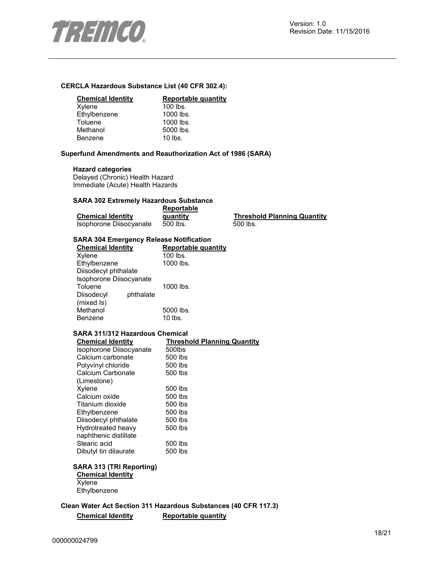

#### **CERCLA Hazardous Substance List (40 CFR 302.4):**

#### **Chemical Identity Reportable quantity**

| Xylene       | $100$ lbs. |
|--------------|------------|
| Ethylbenzene | 1000 lbs.  |
| Toluene      | 1000 lbs.  |
| Methanol     | 5000 lbs.  |
| Benzene      | $10$ lbs.  |
|              |            |

#### **Superfund Amendments and Reauthorization Act of 1986 (SARA)**

#### **Hazard categories**

Delayed (Chronic) Health Hazard Immediate (Acute) Health Hazards

#### **SARA 302 Extremely Hazardous Substance**

|                          | Reportable |
|--------------------------|------------|
| <b>Chemical Identity</b> | quantity   |
| Isophorone Diisocyanate  | 500 lbs.   |

**Threshold Planning Quantity**  $500$  lbs.

#### **SARA 304 Emergency Release Notification**

| <b>Chemical Identity</b> |           | Reportable quantity |
|--------------------------|-----------|---------------------|
| Xylene                   |           | 100 lbs.            |
| Ethylbenzene             |           | 1000 lbs.           |
| Diisodecyl phthalate     |           |                     |
| Isophorone Diisocyanate  |           |                     |
| Toluene                  |           | 1000 lbs.           |
| Diisodecyl               | phthalate |                     |
| (mixed Is)               |           |                     |
| Methanol                 |           | 5000 lbs.           |
| Benzene                  |           | $10$ lbs.           |

#### **SARA 311/312 Hazardous Chemical**

| <b>Threshold Planning Quantity</b> |
|------------------------------------|
| 500lbs                             |
| 500 lbs                            |
| 500 lbs                            |
| 500 lbs                            |
|                                    |
| 500 lbs                            |
| 500 lbs                            |
| 500 lbs                            |
| 500 lbs                            |
| 500 lbs                            |
| 500 lbs                            |
|                                    |
| 500 lbs                            |
| 500 lbs                            |
|                                    |

# **SARA 313 (TRI Reporting)**

**Chemical Identity Xylene Ethylbenzene** 

**Clean Water Act Section 311 Hazardous Substances (40 CFR 117.3) Chemical Identity Reportable quantity**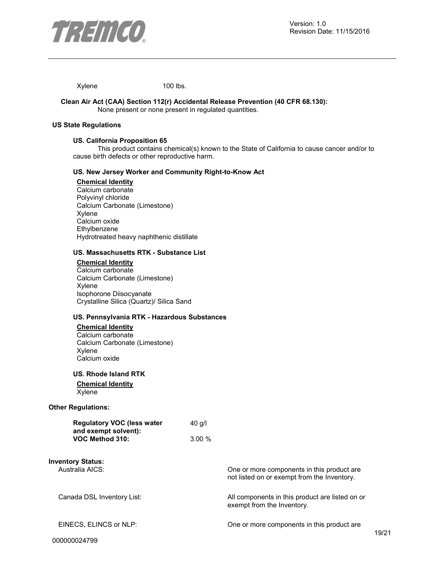

Xylene 100 lbs.

#### **Clean Air Act (CAA) Section 112(r) Accidental Release Prevention (40 CFR 68.130):**  None present or none present in regulated quantities.

#### **US State Regulations**

#### **US. California Proposition 65**

This product contains chemical(s) known to the State of California to cause cancer and/or to cause birth defects or other reproductive harm.

### **US. New Jersey Worker and Community Right-to-Know Act**

### **Chemical Identity**

Calcium carbonate Polyvinyl chloride Calcium Carbonate (Limestone) Xylene Calcium oxide Ethylbenzene Hydrotreated heavy naphthenic distillate

#### **US. Massachusetts RTK - Substance List**

**Chemical Identity** Calcium carbonate Calcium Carbonate (Limestone) Xylene Isophorone Diisocyanate Crystalline Silica (Quartz)/ Silica Sand

#### **US. Pennsylvania RTK - Hazardous Substances**

#### **Chemical Identity** Calcium carbonate Calcium Carbonate (Limestone) Xylene Calcium oxide

**US. Rhode Island RTK** 

#### **Chemical Identity** Xylene

#### **Other Regulations:**

| <b>Regulatory VOC (less water</b> | $40$ g/l |
|-----------------------------------|----------|
| and exempt solvent):              |          |
| VOC Method 310:                   | $3.00\%$ |

**Inventory Status:** Australia AICS: One or more components in this product are

Canada DSL Inventory List: All components in this product are listed on or

exempt from the Inventory.

not listed on or exempt from the Inventory.

EINECS, ELINCS or NLP: One or more components in this product are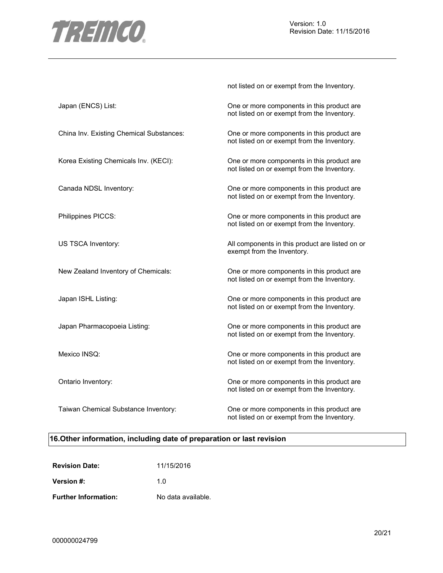

not listed on or exempt from the Inventory.

| Japan (ENCS) List:                       | One or more components in this product are<br>not listed on or exempt from the Inventory. |
|------------------------------------------|-------------------------------------------------------------------------------------------|
| China Inv. Existing Chemical Substances: | One or more components in this product are<br>not listed on or exempt from the Inventory. |
| Korea Existing Chemicals Inv. (KECI):    | One or more components in this product are<br>not listed on or exempt from the Inventory. |
| Canada NDSL Inventory:                   | One or more components in this product are<br>not listed on or exempt from the Inventory. |
| Philippines PICCS:                       | One or more components in this product are<br>not listed on or exempt from the Inventory. |
| US TSCA Inventory:                       | All components in this product are listed on or<br>exempt from the Inventory.             |
| New Zealand Inventory of Chemicals:      | One or more components in this product are<br>not listed on or exempt from the Inventory. |
| Japan ISHL Listing:                      | One or more components in this product are<br>not listed on or exempt from the Inventory. |
| Japan Pharmacopoeia Listing:             | One or more components in this product are<br>not listed on or exempt from the Inventory. |
| Mexico INSQ:                             | One or more components in this product are<br>not listed on or exempt from the Inventory. |
| Ontario Inventory:                       | One or more components in this product are<br>not listed on or exempt from the Inventory. |
| Taiwan Chemical Substance Inventory:     | One or more components in this product are<br>not listed on or exempt from the Inventory. |

# **16.Other information, including date of preparation or last revision**

| <b>Revision Date:</b>       | 11/15/2016         |
|-----------------------------|--------------------|
| Version #:                  | 1 በ                |
| <b>Further Information:</b> | No data available. |